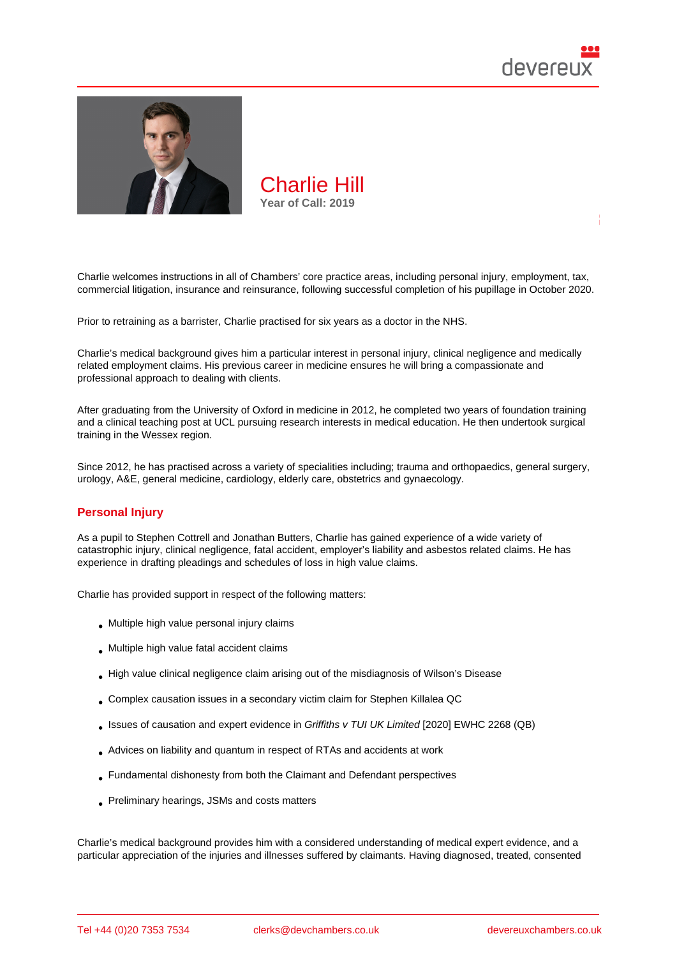

Charlie welcomes instructions in all of Chambers' core practice areas, including personal injury, employment, tax, commercial litigation, insurance and reinsurance, following successful completion of his pupillage in October 2020.

Prior to retraining as a barrister, Charlie practised for six years as a doctor in the NHS.

Charlie's medical background gives him a particular interest in personal injury, clinical negligence and medically related employment claims. His previous career in medicine ensures he will bring a compassionate and professional approach to dealing with clients.

After graduating from the University of Oxford in medicine in 2012, he completed two years of foundation training and a clinical teaching post at UCL pursuing research interests in medical education. He then undertook surgical training in the Wessex region.

Since 2012, he has practised across a variety of specialities including; trauma and orthopaedics, general surgery, urology, A&E, general medicine, cardiology, elderly care, obstetrics and gynaecology.

## Personal Injury

As a pupil to Stephen Cottrell and Jonathan Butters, Charlie has gained experience of a wide variety of catastrophic injury, clinical negligence, fatal accident, employer's liability and asbestos related claims. He has experience in drafting pleadings and schedules of loss in high value claims.

Charlie has provided support in respect of the following matters:

- Multiple high value personal injury claims
- Multiple high value fatal accident claims
- High value clinical negligence claim arising out of the misdiagnosis of Wilson's Disease
- Complex causation issues in a secondary victim claim for Stephen Killalea QC
- Issues of causation and expert evidence in Griffiths v TUI UK Limited [2020] EWHC 2268 (QB)
- Advices on liability and quantum in respect of RTAs and accidents at work
- Fundamental dishonesty from both the Claimant and Defendant perspectives
- Preliminary hearings, JSMs and costs matters

Charlie's medical background provides him with a considered understanding of medical expert evidence, and a particular appreciation of the injuries and illnesses suffered by claimants. Having diagnosed, treated, consented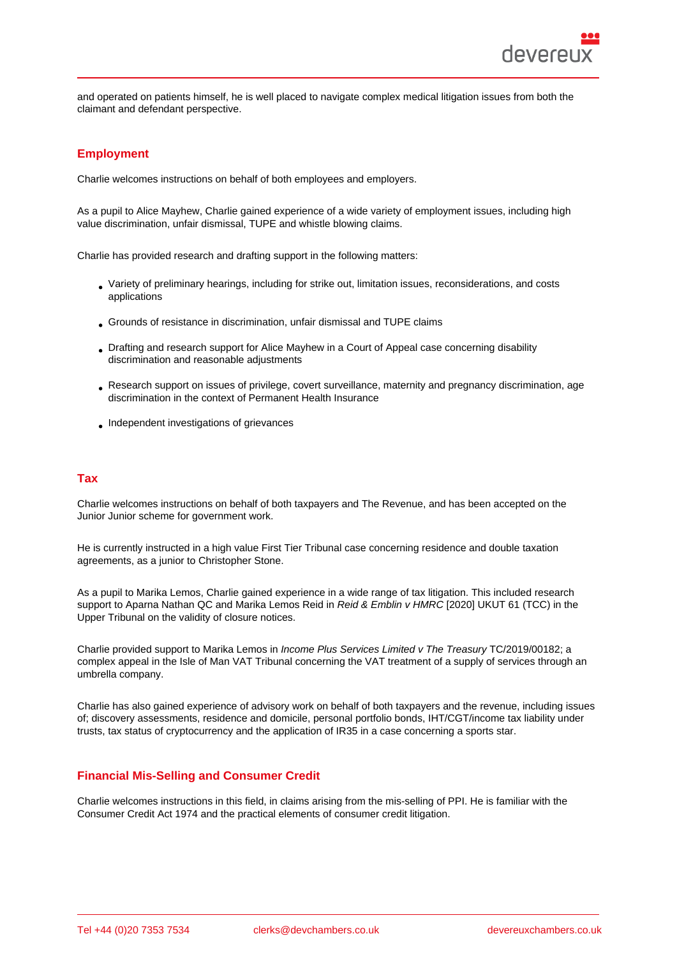and operated on patients himself, he is well placed to navigate complex medical litigation issues from both the claimant and defendant perspective.

# **Employment**

Charlie welcomes instructions on behalf of both employees and employers.

As a pupil to Alice Mayhew, Charlie gained experience of a wide variety of employment issues, including high value discrimination, unfair dismissal, TUPE and whistle blowing claims.

Charlie has provided research and drafting support in the following matters:

- Variety of preliminary hearings, including for strike out, limitation issues, reconsiderations, and costs applications
- Grounds of resistance in discrimination, unfair dismissal and TUPE claims
- Drafting and research support for Alice Mayhew in a Court of Appeal case concerning disability discrimination and reasonable adjustments
- Research support on issues of privilege, covert surveillance, maternity and pregnancy discrimination, age discrimination in the context of Permanent Health Insurance
- Independent investigations of grievances

## Tax

Charlie welcomes instructions on behalf of both taxpayers and The Revenue, and has been accepted on the Junior Junior scheme for government work.

He is currently instructed in a high value First Tier Tribunal case concerning residence and double taxation agreements, as a junior to Christopher Stone.

As a pupil to Marika Lemos, Charlie gained experience in a wide range of tax litigation. This included research support to Aparna Nathan QC and Marika Lemos Reid in Reid & Emblin v HMRC [2020] UKUT 61 (TCC) in the Upper Tribunal on the validity of closure notices.

Charlie provided support to Marika Lemos in Income Plus Services Limited v The Treasury TC/2019/00182; a complex appeal in the Isle of Man VAT Tribunal concerning the VAT treatment of a supply of services through an umbrella company.

Charlie has also gained experience of advisory work on behalf of both taxpayers and the revenue, including issues of; discovery assessments, residence and domicile, personal portfolio bonds, IHT/CGT/income tax liability under trusts, tax status of cryptocurrency and the application of IR35 in a case concerning a sports star.

### Financial Mis-Selling and Consumer Credit

Charlie welcomes instructions in this field, in claims arising from the mis-selling of PPI. He is familiar with the Consumer Credit Act 1974 and the practical elements of consumer credit litigation.